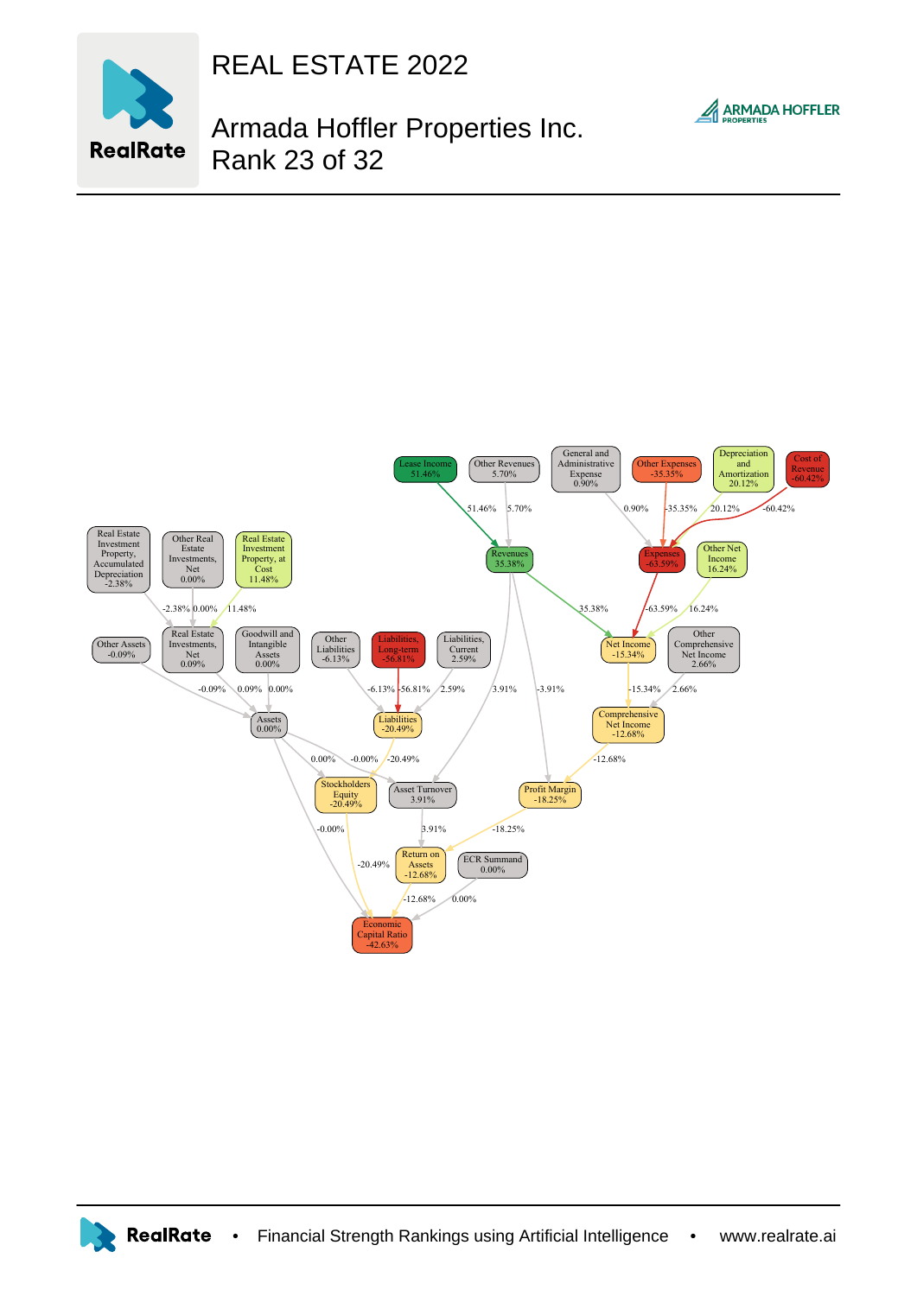

REAL ESTATE 2022

## **ARMADA HOFFLER**

Armada Hoffler Properties Inc. Rank 23 of 32